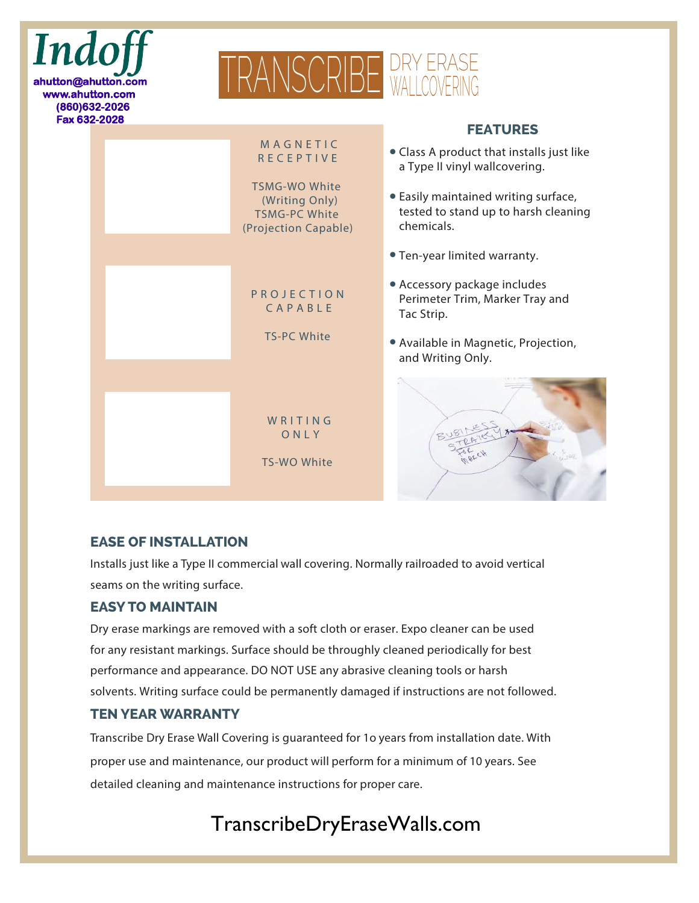

#### **EASE OF INSTALLATION**

Installs just like a Type II commercial wall covering. Normally railroaded to avoid vertical seams on the writing surface.

#### **EASY TO MAINTAIN**

Dry erase markings are removed with a soft cloth or eraser. Expo cleaner can be used for any resistant markings. Surface should be throughly cleaned periodically for best performance and appearance. DO NOT USE any abrasive cleaning tools or harsh solvents. Writing surface could be permanently damaged if instructions are not followed.

### **TEN YEAR WARRANTY**

Transcribe Dry Erase Wall Covering is guaranteed for 1o years from installation date. With proper use and maintenance, our product will perform for a minimum of 10 years. See detailed cleaning and maintenance instructions for proper care.

# TranscribeDryEraseWalls.com